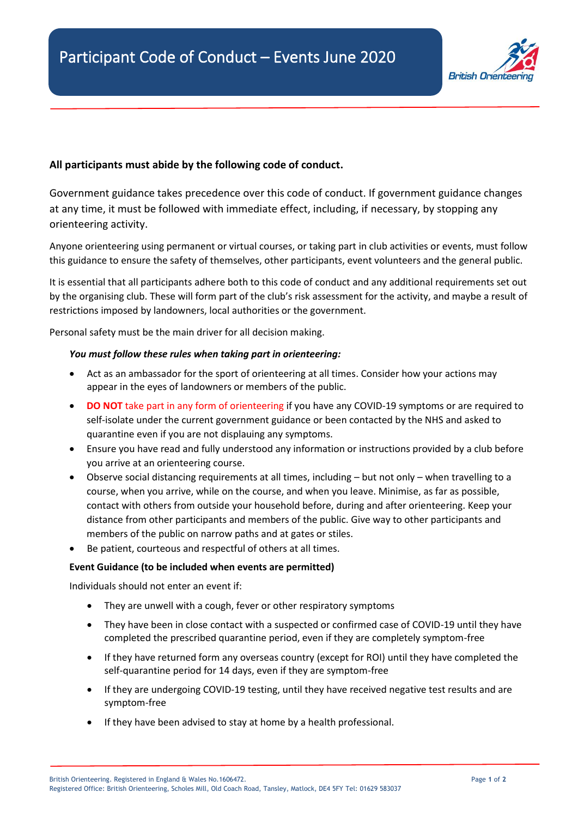

## **All participants must abide by the following code of conduct.**

Government guidance takes precedence over this code of conduct. If government guidance changes at any time, it must be followed with immediate effect, including, if necessary, by stopping any orienteering activity.

Anyone orienteering using permanent or virtual courses, or taking part in club activities or events, must follow this guidance to ensure the safety of themselves, other participants, event volunteers and the general public.

It is essential that all participants adhere both to this code of conduct and any additional requirements set out by the organising club. These will form part of the club's risk assessment for the activity, and maybe a result of restrictions imposed by landowners, local authorities or the government.

Personal safety must be the main driver for all decision making.

## *You must follow these rules when taking part in orienteering:*

- Act as an ambassador for the sport of orienteering at all times. Consider how your actions may appear in the eyes of landowners or members of the public.
- **DO NOT** take part in any form of orienteering if you have any COVID-19 symptoms or are required to self-isolate under the current government guidance or been contacted by the NHS and asked to quarantine even if you are not displauing any symptoms.
- Ensure you have read and fully understood any information or instructions provided by a club before you arrive at an orienteering course.
- Observe social distancing requirements at all times, including but not only when travelling to a course, when you arrive, while on the course, and when you leave. Minimise, as far as possible, contact with others from outside your household before, during and after orienteering. Keep your distance from other participants and members of the public. Give way to other participants and members of the public on narrow paths and at gates or stiles.
- Be patient, courteous and respectful of others at all times.

## **Event Guidance (to be included when events are permitted)**

Individuals should not enter an event if:

- They are unwell with a cough, fever or other respiratory symptoms
- They have been in close contact with a suspected or confirmed case of COVID-19 until they have completed the prescribed quarantine period, even if they are completely symptom-free
- If they have returned form any overseas country (except for ROI) until they have completed the self-quarantine period for 14 days, even if they are symptom-free
- If they are undergoing COVID-19 testing, until they have received negative test results and are symptom-free
- If they have been advised to stay at home by a health professional.